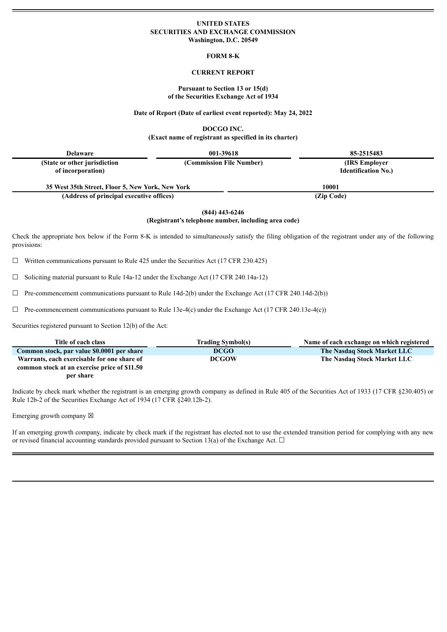### **UNITED STATES SECURITIES AND EXCHANGE COMMISSION Washington, D.C. 20549**

**FORM 8-K**

### **CURRENT REPORT**

### **Pursuant to Section 13 or 15(d) of the Securities Exchange Act of 1934**

### **Date of Report (Date of earliest event reported): May 24, 2022**

**DOCGO INC.**

**(Exact name of registrant as specified in its charter)**

| <b>Delaware</b>                                    | 001-39618                | 85-2515483                                   |  |
|----------------------------------------------------|--------------------------|----------------------------------------------|--|
| (State or other jurisdiction)<br>of incorporation) | (Commission File Number) | (IRS Employer)<br><b>Identification No.)</b> |  |
| 35 West 35th Street, Floor 5, New York, New York   |                          | 10001                                        |  |
| (Address of principal executive offices)           |                          | (Zip Code)                                   |  |

**(844) 443-6246**

# **(Registrant's telephone number, including area code)**

Check the appropriate box below if the Form 8-K is intended to simultaneously satisfy the filing obligation of the registrant under any of the following provisions:

 $\Box$  Written communications pursuant to Rule 425 under the Securities Act (17 CFR 230.425)

 $\Box$  Soliciting material pursuant to Rule 14a-12 under the Exchange Act (17 CFR 240.14a-12)

 $\Box$  Pre-commencement communications pursuant to Rule 14d-2(b) under the Exchange Act (17 CFR 240.14d-2(b))

 $\Box$  Pre-commencement communications pursuant to Rule 13e-4(c) under the Exchange Act (17 CFR 240.13e-4(c))

Securities registered pursuant to Section 12(b) of the Act:

| Title of each class                          | <b>Trading Symbol(s)</b> | Name of each exchange on which registered |
|----------------------------------------------|--------------------------|-------------------------------------------|
| Common stock, par value \$0.0001 per share   | <b>DCGO</b>              | The Nasdaq Stock Market LLC               |
| Warrants, each exercisable for one share of  | <b>DCGOW</b>             | The Nasdaq Stock Market LLC               |
| common stock at an exercise price of \$11.50 |                          |                                           |
| per share                                    |                          |                                           |

Indicate by check mark whether the registrant is an emerging growth company as defined in Rule 405 of the Securities Act of 1933 (17 CFR §230.405) or Rule 12b-2 of the Securities Exchange Act of 1934 (17 CFR §240.12b-2).

Emerging growth company  $\boxtimes$ 

If an emerging growth company, indicate by check mark if the registrant has elected not to use the extended transition period for complying with any new or revised financial accounting standards provided pursuant to Section 13(a) of the Exchange Act.  $\Box$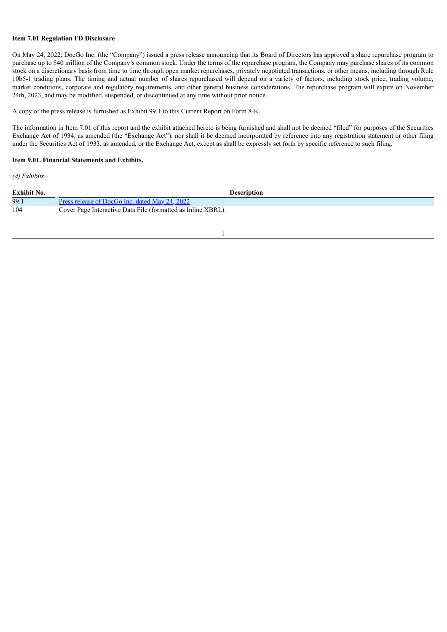# **Item 7.01 Regulation FD Disclosure**

On May 24, 2022, DocGo Inc. (the "Company") issued a press release announcing that its Board of Directors has approved a share repurchase program to purchase up to \$40 million of the Company's common stock. Under the terms of the repurchase program, the Company may purchase shares of its common stock on a discretionary basis from time to time through open market repurchases, privately negotiated transactions, or other means, including through Rule 10b5-1 trading plans. The timing and actual number of shares repurchased will depend on a variety of factors, including stock price, trading volume, market conditions, corporate and regulatory requirements, and other general business considerations. The repurchase program will expire on November 24th, 2023, and may be modified, suspended, or discontinued at any time without prior notice.

A copy of the press release is furnished as Exhibit 99.1 to this Current Report on Form 8-K.

The information in Item 7.01 of this report and the exhibit attached hereto is being furnished and shall not be deemed "filed" for purposes of the Securities Exchange Act of 1934, as amended (the "Exchange Act"), nor shall it be deemed incorporated by reference into any registration statement or other filing under the Securities Act of 1933, as amended, or the Exchange Act, except as shall be expressly set forth by specific reference to such filing.

### **Item 9.01. Financial Statements and Exhibits.**

*(d) Exhibits.*

| <b>Exhibit No.</b> | <b>Description</b>                                           |
|--------------------|--------------------------------------------------------------|
| 99.1               | Press release of DocGo Inc. dated May 24, 2022               |
| 104                | Cover Page Interactive Data File (formatted as Inline XBRL). |
|                    |                                                              |

1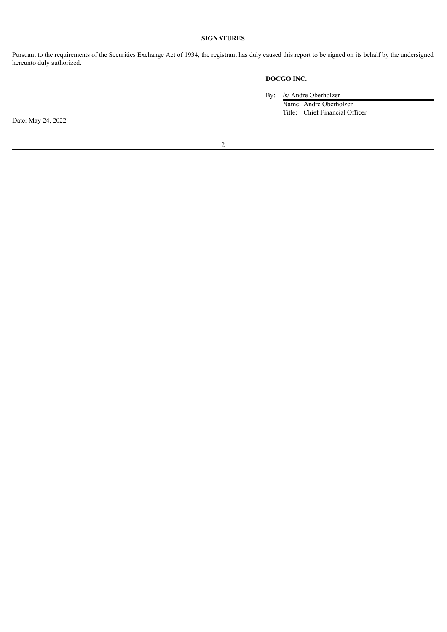# **SIGNATURES**

Pursuant to the requirements of the Securities Exchange Act of 1934, the registrant has duly caused this report to be signed on its behalf by the undersigned hereunto duly authorized.

# **DOCGO INC.**

By: /s/ Andre Oberholzer

Name: Andre Oberholzer Title: Chief Financial Officer

Date: May 24, 2022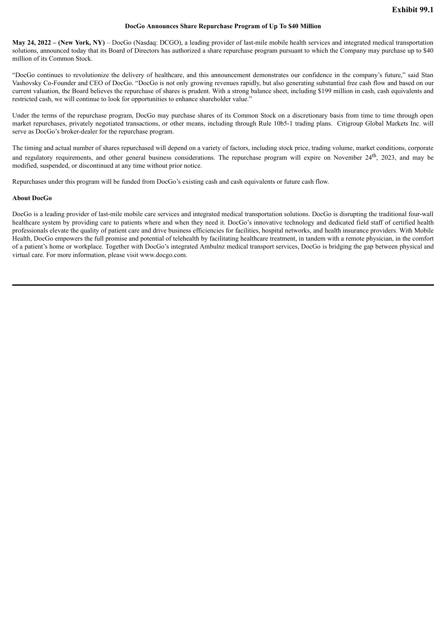### **DocGo Announces Share Repurchase Program of Up To \$40 Million**

<span id="page-3-0"></span>**May 24, 2022 – (New York, NY)** – DocGo (Nasdaq: DCGO), a leading provider of last-mile mobile health services and integrated medical transportation solutions, announced today that its Board of Directors has authorized a share repurchase program pursuant to which the Company may purchase up to \$40 million of its Common Stock.

"DocGo continues to revolutionize the delivery of healthcare, and this announcement demonstrates our confidence in the company's future," said Stan Vashovsky Co-Founder and CEO of DocGo. "DocGo is not only growing revenues rapidly, but also generating substantial free cash flow and based on our current valuation, the Board believes the repurchase of shares is prudent. With a strong balance sheet, including \$199 million in cash, cash equivalents and restricted cash, we will continue to look for opportunities to enhance shareholder value."

Under the terms of the repurchase program, DocGo may purchase shares of its Common Stock on a discretionary basis from time to time through open market repurchases, privately negotiated transactions, or other means, including through Rule 10b5-1 trading plans. Citigroup Global Markets Inc. will serve as DocGo's broker-dealer for the repurchase program.

The timing and actual number of shares repurchased will depend on a variety of factors, including stock price, trading volume, market conditions, corporate and regulatory requirements, and other general business considerations. The repurchase program will expire on November 24<sup>th</sup>, 2023, and may be modified, suspended, or discontinued at any time without prior notice.

Repurchases under this program will be funded from DocGo's existing cash and cash equivalents or future cash flow.

### **About DocGo**

DocGo is a leading provider of last-mile mobile care services and integrated medical transportation solutions. DocGo is disrupting the traditional four-wall healthcare system by providing care to patients where and when they need it. DocGo's innovative technology and dedicated field staff of certified health professionals elevate the quality of patient care and drive business efficiencies for facilities, hospital networks, and health insurance providers. With Mobile Health, DocGo empowers the full promise and potential of telehealth by facilitating healthcare treatment, in tandem with a remote physician, in the comfort of a patient's home or workplace. Together with DocGo's integrated Ambulnz medical transport services, DocGo is bridging the gap between physical and virtual care. For more information, please visit www.docgo.com.